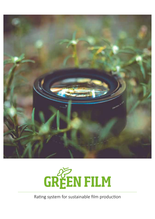



Rating system for sustainable film production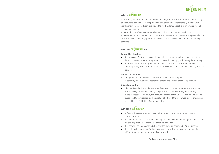

## **What is GREEN FILM**

A **tool** designed for Film Funds, Film Commissions, broadcasters or other entities wishing to encourage film and TV series producers to work in an environmentally friendly way. Via this instrument, producers are guided to work as far as possible in an environmentally sustainable manner.

A **brand** that certifies environmental sustainability for audiovisual productions. A **network** of entities that work in a coordinated manner to implement strategies and tools for sustainable cinematography and to collectively create sustainability-related training activities.

## **How does GREEN FILM work**

#### **Before the shooting**

- Using a *checklist*, the producers declare which environmental sustainability criteria listed in the GREEN FILM rating system they wish to comply with during the shooting.
- Based on the number of green points stated by the producer, the GREEN FILM adopting entity may decide to award the project with some kind of incentives, prizes or services.

#### **During the shooting**

- The production undertakes to comply with the criteria adopted.
- A certifying body verifies whether the criteria are actually being complied with.

#### **After the shooting**

- The certifying body completes the verification of compliance with the environmental sustainability criteria declared by the production prior to starting the shooting.
- If the verification is positive, the production receives the GREEN FILM environmental sustainability certification by the certifying body and the incentives, prizes or services offered by the GREEN FILM adopting entity.

## **Why adopt GREEN FILM**

- It fosters the green approach in an industrial sector that has a strong power of communication.
- It allows to be part of a Network working on the implementation of good practices and on the organization of coordinated training activities.
- It is easy to use and has already been tested by various film and TV productions.
- It is a shared scheme that facilitates producers in going green when operating in different regions and in the case of co-productions.

Find out more on **green.film**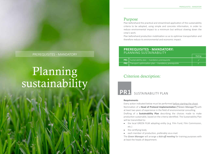Plan beforehand the practical and streamlined application of the sustainability criteria to be adopted, using simple and concrete information, in order to reduce environmental impact to a minimum but without slowing down the crew's work.

Plan beforehand production mobilization so as to optimise transportation and therefore reduce its environmental and economic impact.

### **PREREQUISITES - MANDATORY:**  PLANNING SUSTAINABILITY

| <b>PR1</b> Sustainability plan - mandatory prerequisite         |  |
|-----------------------------------------------------------------|--|
| <b>PR2</b> Transport optimization plan – mandatory prerequisite |  |

## Criterion description:



## SUSTAINABILITY PLAN

#### **Requirements**

Every action indicated below must be performed before starting the shoot. Nomination of a **Head of Protocol Implementation ("***Green Manager***")** with at least two years of experience in the field of environmental consulting. Drafting of a **Sustainability Plan** describing the choices made to make production sustainable, based on the criteria identified. The Sustainability Plan will be transmitted to:

- the local GREEN FILM adopting entity (e.g. Film Fund, Film Commission, etc.)
- the certifying body
- each member of production, preferably via e-mail.

The *Green Manager* will arrange a *kick-off meeting* for training purposes with at least the heads of department.

### PREREQUISITES - MANDATORY **Rating SCIENTIAL CONSTRUSSION**

## Planning sustainability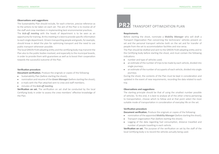#### **Observations and suggestions**

The Sustainability Plan should include, for each criterion, precise reference as to the actions to be taken on each set. The aim of the Plan is to involve all of the staff and crew members in implementing best environmental practices. The *kick-off meeting* with the heads of department is to be seen as an opportunity for training. At this meeting it is best to provide specific information to each single department. Drivers transporting people and goods, for example, should know in detail the plan for optimizing transport and the need to use public transport whenever possible.

The local GREEN FILM adopting entity and the certifying body may transmit the Plan also to the public bodies involved, and especially to the municipal boards, in order to provide them with guarantees as well as to boost their cooperation towards the successful outcome of the Plan.

#### **Verification procedure**

**Document verification.** Produce the originals or copies of the following:

- Sustainability Plan (before starting the shoot);
- nomination and resume of the *Green Manager* (before starting the shoot);
- e-mails with the Plan attached sent to crew and staff members;
- minutes of the *kick-off meeting*.

**Verification on set.** The verification on set shall be conducted by the local Certifying body in order to assess the crew members' effective knowledge of the Plan.

## **PR2** TRANSPORT OPTIMIZATION PLAN

#### **Requirements**

Before starting the shoot, nominate a *Mobility Manager* who will draft a Transport Organization Plan concerning the technicians' vehicles present on set and the personal transport vehicles both on the set and for transfer of people from the set to accommodation facilities and vice versa.

The Plan should be drafted and sent to the GREEN FILM adopting entity and to the Certifying body before starting the shoot, and must contain the following indications:

- number and type of vehicles used;
- an estimate of the number of trips to be made by each vehicle, divided into single journeys;
- an estimate of the number of occupants of each vehicle, divided into single journeys.

During the shoot, the contents of the Plan must be kept in consideration and updated in the event of new requirements, recording the data related to each trip.

#### **Observations and suggestions**

The starting principle should be that of using the smallest number possible of vehicles. To this end, it is best to analyse all of the other criteria pertaining to transportation, choose which to follow and at that point select the most suitable mode of transportation in consideration of everyday life on the set.

#### **Verification procedure**

**Document verification.** Produce the originals or copies of the following:

- nomination of the appointed *Mobility Manager* (before starting the shoot);
- Transport organization Plan (before starting the shoot);
- Logging of the data regarding fuel consumption, distance travelled and number of people travelling in each vehicle.

**Verification on set.** The purpose of the verification on set by the staff of the local Certifying body is to record the vehicles actually being used.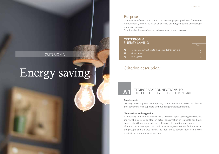To ensure an efficient reduction of the cinematographic production's environmental impact, limiting as much as possible polluting emissions and wastage of energy resources.

To rationalise the use of resources favouring economic savings.

### **CRITERION A:**  ENERGY SAVING

|                |                                                      | Points |
|----------------|------------------------------------------------------|--------|
| A1.            | Temporary connections to the power distribution grid |        |
| A2             | Green power                                          |        |
| A <sub>3</sub> | LED lighting                                         |        |

## Criterion description:



### TEMPORARY CONNECTIONS TO THE ELECTRICITY DISTRIBUTION GRID

#### **Requirements**

Use only power supplied via temporary connections to the power distribution grid, contacting local suppliers, without using portable generators.

#### **Observations and suggestions**

A temporary grid connection involves a fixed cost upon agreeing the contract and variable costs calculated on actual consumption in kilowatts per hour; these costs will be greatly inferior to the costs of operating generators. After each location inspection, it will be advantageous to identify the relevant energy supplier in the area hosting the shoot and to contact them to verify the possibility of a temporary connection.

## CRITERION A

# Energy saving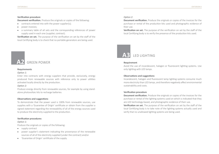#### **Verification procedure**

**Document verification.** Produce the originals or copies of the following:

- contracts entered into with the power supplier(s);
- power invoices;
- a summary table of all sets and the corresponding references of power supply used in each one (supplier, contract).

**Verification on set.** The purpose of the verification on set by the staff of the local Certifying body is to check that no portable generators are being used.

## GREEN POWER **A2**

#### **Requirements**

#### *Option 1:*

Enter into contracts with energy suppliers that provide, exclusively, energy produced from renewable sources with reference only to power utilities activated locally directly by the production.

#### *Option 2:*

Produce energy directly from renewable sources, for example by using standalone photovoltaic kits to recharge batteries.

#### **Observations and suggestions**

To demonstrate that the power used is 100% from renewable sources, use supplies with a 'Guarantee of Origin' certificate or obtain from the supplier a signed statement regarding the renewability of all of the energy sources used to produce the electricity supplied to the production.

#### **Verification procedures**

#### *Option 1:*

Produce the originals or copies of the following:

- supply contract
- power supplier's statement indicating the provenance of the renewable sources of all of the electricity supplied (under the contract) and/or
- 'Guarantee of Origin' certificate of the supply.

#### *Option 2:*

**Document verification.** Produce the originals or copies of the invoices for the purchase or rental of the production kits used and photographic evidence of their use.

**Verification on set.** The purpose of the verification on set by the staff of the local Certifying body is to verify the presence of the production kits used.



#### **Requirement**

Avoid the use of incandescent, halogen or fluorescent lighting systems. Use only lighting with LED lamps.

#### **Observations and suggestions**

Incandescent, halogen and fluorescent lamp lighting systems consume much more electricity than LED lamps, and therefore negatively affect environmental sustainability and costs.

#### **Verification procedure**

**Document verification.** Produce the originals or copies of the invoices for the purchase or rental of the lighting systems used on which is indicated that they are LED technology-based, and photographic evidence of their use. **Verification on set.** The purpose of the verification on set by the staff of the local Certifying body is to take note of the lighting systems actually used and verify that no unallowed lighting systems are being used.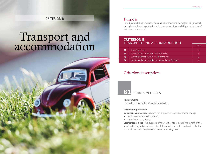## CRITERION B

## Transport and accommodation



## Purpose

To reduce polluting emissions deriving from travelling by motorised transport, through a rational organisation of movements, thus enabling a reduction of fuel consumption costs

### **CRITERION B:**  TRANSPORT AND ACCOMMODATION

| <b>B1</b> | Euro 5 vehicles                                   |  |
|-----------|---------------------------------------------------|--|
| <b>B2</b> | Euro 6, hybrid, methane or LPG vehicles           |  |
| <b>B3</b> | Accommodation: within 10 km of the set            |  |
| <b>B4</b> | Accommodation: certified accommodation facilities |  |
|           |                                                   |  |

## Criterion description:



## FURO 5 VEHICLES

#### **Requirements**

The exclusive use of Euro 5 certified vehicles.

#### **Verification procedure**

**Document verification.** Produce the originals or copies of the following:

- vehicle registration documents;
- rental contracts, if any.

**Verification on set.** The purpose of the verification on set by the staff of the local Certifying body is to take note of the vehicles actually used and verify that no unallowed vehicles (Euro 4 or lower) are being used.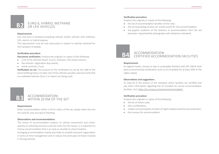#### EURO 6, HYBRID, METHANE OR LPG VEHICLES **B2**

#### **Requirements**

Use only Euro 6 standard-complying vehicles and/or vehicles with methane, LPG, electric or hybrid engines.

The requirement must be met exclusively in respect to vehicles destined for the transport of people.

#### **Verification procedure**

**Document verification.** Produce the originals or copies of the following:

- a list of the vehicles found- Euro 6, methane, LPG and/or electric;
- the vehicles' registration documents;
- rental contracts, if any.

**Verification on set.** The purpose of the verification on set by the staff of the local Certifying body is to take note of the vehicles actually used and verify that no unallowed vehicles (Euro 5 or lower) are being used.

#### ACCOMMODATION: WITHIN 10 KM OF THE SFT **B3**

#### **Requirements**

Select accommodation within a 10 km radius of the set, except when the sets are used for only one day of shooting.

#### **Observations and recommendations**

The choice of accommodation impacts on vehicle movements and consequently on polluting emissions and fuel costs; for this reason, it is important to choose accommodation that is as close as possible to shoot locations. Arranging accommodation nearby also helps to simplify transport organisation in terms of time management and to reduce the work-pace of those involved in driving vehicles.

#### **Verification procedure**

Produce the originals or copies of the following:

- the list of accommodation facilities of the crew;
- the corresponding invoices (or similar proof) for the accommodation;
- the graphic evidence of the distance of accommodation from the set (example: maps/satellite photographs with distances indicated).

#### ACCOMMODATION: CERTIFIED ACCOMMODATION FACILITIES **B4**

#### **Requirements**

As regards hotels, choose to stay in sustainable facilities with ISO 14024 third party environmental certification (such as EU Ecolabel) for at least 50% of the nights stayed.

#### **Observations and suggestions**

To read all of the actions of the standard, which facilities are certified and any other information regarding the EU Ecolabel for tourist accommodation facilities, visit: https://ec.europa.eu/environment/ecolabel/

#### **Verification procedure**

Produce the originals or copies of the following:

- the list of hotels used:
- their certifications;
- a table summarising the number of nights stayed overall by the production;
- the invoices for accommodation.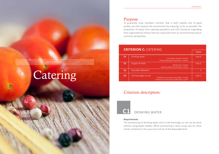To guarantee crew members nutrition that is both healthy and of good quality, yet that respects the environment by reducing, as far as possible, the production of waste from catering operations and CO2 emissions originating from organisational choices that are costly both from an environmental and an economic perspective.

| <b>CRITERION C: CATERING</b> |                                                                                                                    |                  |
|------------------------------|--------------------------------------------------------------------------------------------------------------------|------------------|
|                              | Points                                                                                                             |                  |
| C <sub>1</sub>               | Drinking water<br>Local water network: 4 points<br>Freestanding water dispensers: 3 points                         | max <sub>4</sub> |
| C <sub>2</sub>               | Supply of meals<br>Restaurants: 3 points<br>Catering without lunch-boxes: 1 point                                  | max <sub>3</sub> |
| C3                           | Reusable tableware                                                                                                 | 3                |
| C <sub>4</sub>               | Hot beverages on set<br>Washable cups and ground coffee: 3 points<br>Cellulose cups and gauze coffee pods: 1 point | max <sub>3</sub> |

## Criterion description:



## DRINKING WATER

#### **Requirements**

The provisioning of drinking water and of cold beverages on set can be done without using plastic bottles. When provisioning is done using cups (or other similar containers), the cups must not be of the disposable kind.

## CRITERION C

## Catering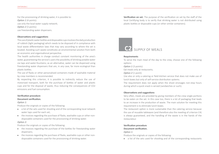For the provisioning of drinking water, it is possible to: *Option 1* (4 points): use only the local water supply network; *Option 2* (3 points): use freestanding water dispensers.

#### **Observations and suggestions**

The use of plastic water bottles and disposable cups involves the daily production of rubbish (light packaging) which needs to be disposed of in compliance with local waste differentiation laws that may vary according to where the set is located. Avoiding such waste constitutes an environmental solution from both an economic and organisational perspective.

The health authorities in charge conduct constant monitoring of the area's water, guaranteeing the service's users the possibility of drinking potable water via taps and water-fountains; as an alternative, water can be dispensed using freestanding water dispensers that are, in any case, far more ecological than plastic bottles.

The use of flasks or other personalised containers made of washable material by crew members is recommended.

By respecting this criterion, it is possible to indirectly reduce the use of motorised transport, both for the purchase of bottles of water and plastic cups and for the disposal of waste, thus reducing the consequences of CO2 emissions and fuel consumption.

## **Verification procedure**

#### **Document verification.**

#### *Option 1:*

Produce the originals or copies of the following:

- a list of the sets used for shooting and of the corresponding local network water taps used for each set;
- the invoices regarding the purchase of flasks, washable cups or other nondisposable containers used for the provisioning of drinking water.

#### *Option 2:*

Produce the originals or copies of the following:

- the invoices regarding the purchase of the bottles for freestanding water dispensers;
- the invoices regarding the purchase of flasks, washable cups or other nondisposable containers used for the provisioning of drinking water.

**Verification on set.** The purpose of the verification on set by the staff of the local Certifying body is to verify that drinking water is not distributed using plastic bottles or disposable cups (or other similar containers).

## C<sub>2</sub> SUPPLY OF MEALS

#### **Requirements**

To serve the main meal of the day to the crew, choose one of the following options:

*Option 1* (3 points):

Eat meals only at restaurants;

*Option 2* (1 point):

Use also or only a catering or field kitchen service that does not make use of lunch boxes but only of self-service distribution systems.

The requirement does not apply when the shoot envisages non-stop hours during which a quick snack is served (sandwiches or such).

#### **Observations and suggestions**

Very often, meals are provided by giving members of the crew single portions to be eaten on the set. In this case too, there is a lot of packaging that leads to an increase in the production of waste. The main solution for meeting this requirement is to eliminate lunch boxes.

The restaurant option is more sustainable than the catering service because the use of reusable tableware (and therefore also the meeting of criterion C4) is always guaranteed, and the handling of the waste is in the hands of the restaurateur.

#### **Verification procedure Document verification.**

*Option 1:*

Produce the originals or copies of the following:

• a list of the sets used for shooting and of the corresponding restaurants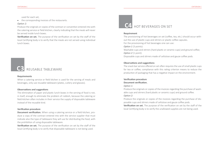used for each set;

• the corresponding invoices of the restaurants.

#### *Option 2:*

Produce the originals or copies of the contract or convention entered into with the catering service or field kitchen, clearly indicating that the meals will never be served inside lunch boxes.

**Verification on set.** The purpose of the verification on set by the staff of the local Certifying body is to verify that the meals are not served using individual lunch boxes.

REUSABLE TABLEWARE **C3**

#### **Requirements**

When a catering service or field kitchen is used for the serving of meals and beverages, only use reusable tableware (plates, cutlery and glasses).

#### **Observations and suggestions**

The elimination of paper and plastic lunch-boxes in the serving of food is not, in itself, enough to eliminate the problem of rubbish, because the catering or field kitchen often includes in their service the supply of disposable tableware instead of the reusable kind.

#### **Verification procedure**

**Document verification.** When using a catering service or a field kitchen, produce a copy of the contract entered into with the service supplier that must indicate also the type of tableware they will use for distributing the food, with the prohibition of using disposable tableware.

**Verification on set.** The purpose of the verification on set by the staff of the local Certifying body is to verify that disposable tableware is not being used.

## **C4** HOT BEVERAGES ON SET

#### **Requirement**

The provisioning of hot beverages on set (coffee, tea, etc.) should occur without the use of plastic cups and stirrers or plastic coffee capsules.

For the provisioning of hot beverages one can use:

*Option 1* (3 points):

Washable cups and stirrers (hard plastic or ceramic cups) and ground coffee; *Option 2* (1 point):

Disposable cups and stirrers made of cellulose and gauze coffee pods.

#### **Observations and suggestions**

The snack bar service offered on set often requires the use of small plastic cups for tea or coffee; compliance with this rating criterion means to reduce the production of packaging that has a negative impact on the environment.

#### **Verification procedure**

#### **Document verification.**

#### *Option 1:*

Produce the originals or copies of the invoices regarding the purchase of washable cups and stirrers (hard plastic or ceramic cups) and ground coffee. *Option 2:*

Produce the originals or copies of the invoices regarding the purchase of disposable cups and stirrers made of cellulose and gauze coffee pods. **Verification on set.** The purpose of the verification on set by the staff of the local Certifying body is to verify the unallowed supplies are not being used.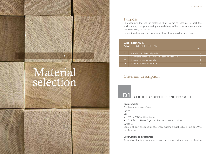Punti

## Purpose

To encourage the use of materials that, as far as possible, respect the environment, thus guaranteeing the well-being of both the location and the people working on the set.

To avoid wasting materials by finding efficient solutions for their reuse.

### **CRITERION D:**  MATERIAL SELECTION

| <b>D1</b>      | Certified suppliers and products                      |  |
|----------------|-------------------------------------------------------|--|
| D <sub>2</sub> | Recyclable materials or materials deriving from reuse |  |
| D <sub>3</sub> | Reuse of scenery materials                            |  |
| D <sub>4</sub> | Paper-based communication                             |  |

## Criterion description:

## CERTIFIED SUPPLIERS AND PRODUCTS

#### **Requirements**

For the construction of sets:

*Option 1:*

Use:

- FSC or PEFC certified timber;
- *• Ecolabel* or *Blauer Engel* certified varnishes and paints; *Option 2:*

Contact at least one supplier of scenery materials that has ISO 14001 or EMAS certification.

#### **Observations and suggestions**

Research all the information necessary concerning environmental certification

## CRITERION D

## Material selection





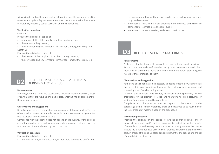with a view to finding the most ecological solution possible, preferably making use of local suppliers. Pay particular attention to the procedures for the disposal of materials, especially paints, varnishes and their containers.

#### **Verification procedure**

#### *Option 1*:

Produce the originals or copies of:

- a summary table of the supplies used for making scenery;
- the corresponding invoices:
- the corresponding environmental certifications, among those required. *Option 2*:

Produce the originals or copies of:

- the invoices of the suppliers of certified scenery material;
- the corresponding environmental certifications, among those required.



### RECYCLED MATERIALS OR MATERIALS DERIVING FROM REUSE

#### **Requirements**

Work together with firms and associations that offer scenery materials, props or costumes that are recycled or being reused, entering into an agreement for their supply or lease.

#### **Observations and suggestions**

Recycling and reuse are cornerstones of environmental sustainability. The use of recycled or reused set materials or objects and costumes can guarantee both ecological and economic savings.

Compliance with the criterion does not depend on the quantity or the percentage of the recycled or reused scenery materials, props and costumes over the total amount of materials used by the production.

#### **Verification procedure**

Produce the originals or copies of:

• the invoices and/or contracts and/or transport documents and/or writ-

ten agreements showing the use of recycled or reused scenery materials, props and costumes;

- in the case of recycled materials, evidence of the presence of the recycled components (technical data sheets or such);
- in the case of reused materials, evidence of previous use.

## REUSE OF SCENERY MATERIALS **D3**

#### **Requirements**

At the end of a shoot, make the reusable scenery materials, made specifically for the production, available for further use by other parties who should collect them, and an agreement should be drawn up with the parties stipulating the release of these materials to them.

#### **Observations and suggestions**

At the end of a shoot, it will be necessary to decide what to do with materials that are still in good condition, favouring the 'virtuous cycle' of reuse and preventing them from becoming waste.

To meet this criterion, only scenery materials made specifically by the production for the creation of a set (and therefore no hired costumes or vehicles, for example) should be considered.

Compliance with the criterion does not depend on the quantity or the percentage of the scenery materials, props and costumes to be reused, over the total amount of materials used by the production.

#### **Verification procedure**

Produce the originals or the copies of invoices and/or contracts and/or transport documents and/or written agreements that attest to the transfer of reusable props and scenery materials to parties that guarantee their reuse (should the pick-up not have occurred yet, produce a statement signed by the party in charge of the pick-up stating its commitment to the pick-up and the list of materials to be picked up).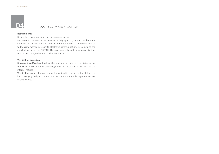**D4**

## PAPER-BASED COMMUNICATION

#### **Requirements**

Reduce to a minimum paper-based communication.

For internal communications relative to daily agendas, journeys to be made with motor vehicles and any other useful information to be communicated to the crew members, resort to electronic communication, including also the email addresses of the GREEN FILM adopting entity in the electronic distribution lists of the agendas and of all other notices.

#### **Verification procedure**

**Document verification.** Produce the originals or copies of the statement of the GREEN FILM adopting entity regarding the electronic distribution of the internal notices.

**Verification on set.** The purpose of the verification on set by the staff of the local Certifying body is to make sure the non-indispensable paper notices are not being used.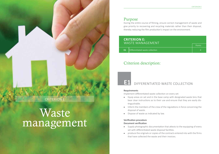During the entire course of filming, ensure correct management of waste and give priority to recovering and recycling materials rather than their disposal, thereby reducing the film production's impact on the environment.

### **CRITERION E:**  WASTE MANAGEMENT

|     | WAJI E IVIAINAUEIVIEN I         | Points |
|-----|---------------------------------|--------|
| E1. | Differentiated waste collection |        |

## Criterion description:

#### DIFFERENTIATED WASTE COLLECTION **E1**

#### **Requirements**

Implement differentiated waste collection on every set:

- Equip areas on set and in the base camp with designated waste bins that bear clear instructions as to their use and ensure that they are easily distinguishable.
- Inform the members of the crew of the regulations in force concerning the disposal of waste.
- Dispose of waste as indicated by law.

#### **Verification procedure Document verification**

- Supply photographic documentation that attests to the equipping of every set with differentiated waste disposal facilities.
- produce the originals or copies of the contracts entered into with the firms that have collected the waste and their invoices.

## CRITERION E

## Waste management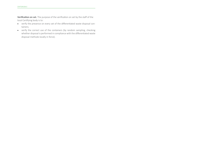**Verification on set.** The purpose of the verification on set by the staff of the local Certifying body is to:

- verify the presence on every set of the differentiated waste disposal containers;
- verify the correct use of the containers (by random sampling, checking whether disposal is performed in compliance with the differentiated waste disposal methods locally in force).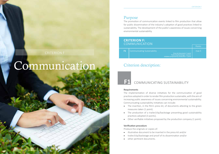Points

## Purpose

The promotion of communication events linked to film production that allow for public dissemination of the industry's adoption of good practices linked to sustainability. The development of the public's awareness of issues concerning environmental sustainability.

### **CRITERION F:**  COMMUNICATION

| <b>F1</b> | <b>Communicating Sustainability</b><br>Press kit document: 1 point<br>Trailer/clip/backstage: 3 points | max 5 |
|-----------|--------------------------------------------------------------------------------------------------------|-------|
|           | Initiative proposed by production: 1 point                                                             |       |

## Criterion description:

#### COMMUNICATING SUSTAINABILITY **F1**

#### **Requirements**

The implementation of diverse initiatives for the communication of good practices adopted in order to render film production sustainable, with the aim of increasing public awareness of issues concerning environmental sustainability. Communicating sustainability initiatives can include:

- The insertion, in the film's press kit, of documents attesting to the green measures taken (1 point).
- The production of a trailer/clip/backstage presenting good sustainability practices adopted (3 points).
- Other verifiable initiatives proposed by the production company (1 point).

#### **Verification procedure**

Produce the originals or copies of:

- illustrative document to be inserted in the press-kit and/or
- trailer/clip/backstage and proof of its dissemination and/or
- other pertinent documents.

## Communication

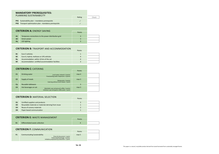| <b>MANDATORY PREREQUISITES:</b><br>PLANNING SUSTAINABILITY |                                                      |        |       |
|------------------------------------------------------------|------------------------------------------------------|--------|-------|
|                                                            |                                                      | Rating | Check |
| PR <sub>1</sub>                                            | Sustainability plan – mandatory prerequisite         |        |       |
| PR <sub>2</sub>                                            | Transport optimization plan - mandatory prerequisite |        |       |
|                                                            |                                                      |        |       |
| <b>CRITERION A: ENERGY SAVING</b>                          |                                                      |        |       |
|                                                            |                                                      | Points |       |
| A1                                                         | Temporary connections to the power distribution grid | 3      |       |
| A2                                                         | Green power                                          | 3      |       |

#### **CRITERION B: TRASPORT AND ACCOMMODATION**

**A3** LED lighting 3

| <b>B1</b> | Euro 5 vehicles                                   |   |  |
|-----------|---------------------------------------------------|---|--|
| <b>B2</b> | Euro 6, hybrid, methane or LPG vehicles           | 4 |  |
| <b>B3</b> | Accommodation: within 10 km of the set            | 4 |  |
| <b>B4</b> | Accommodation: certified accommodation facilities |   |  |
|           |                                                   |   |  |

#### **CRITERION C:** CATERING

|                |                      |                                                                                            | Points           |  |
|----------------|----------------------|--------------------------------------------------------------------------------------------|------------------|--|
| C <sub>1</sub> | Drinking water       | Local water network: 4 points<br>Freestanding water dispensers: 3 points                   | max <sub>4</sub> |  |
| C <sub>2</sub> | Supply of meals      | Restaurants: 3 points<br>Catering without lunch-boxes: 1 point                             | max <sub>3</sub> |  |
| C <sub>3</sub> | Reusable tableware   |                                                                                            | 3                |  |
| C <sub>4</sub> | Hot beverages on set | Washable cups and ground coffee: 3 points<br>Cellulose cups and gauze coffee pods: 1 point | max <sub>3</sub> |  |

#### **CRITERION D: MATERIAL SELECTION**

|                |                                                       | . |
|----------------|-------------------------------------------------------|---|
| D <sub>1</sub> | Certified suppliers and products                      |   |
| D <sub>2</sub> | Recyclable materials or materials deriving from reuse |   |
| D <sub>3</sub> | Reuse of scenery materials                            |   |
| D <sub>4</sub> | Paper-based communication                             |   |

#### **CRITERION E:** WASTE MANAGEMENT

|                                 | . |  |
|---------------------------------|---|--|
| Differentiated waste collection |   |  |
|                                 |   |  |

#### **CRITERION F: COMMUNICATION**

|                |                                                                                                                                                      | Points |
|----------------|------------------------------------------------------------------------------------------------------------------------------------------------------|--------|
| F <sub>1</sub> | <b>Communicating Sustainability</b><br>Press kit document: 1 point<br>Trailer/clip/backstage: 3 points<br>Initiative proposed by production: 1 point | max 5  |

Points

Points

Points